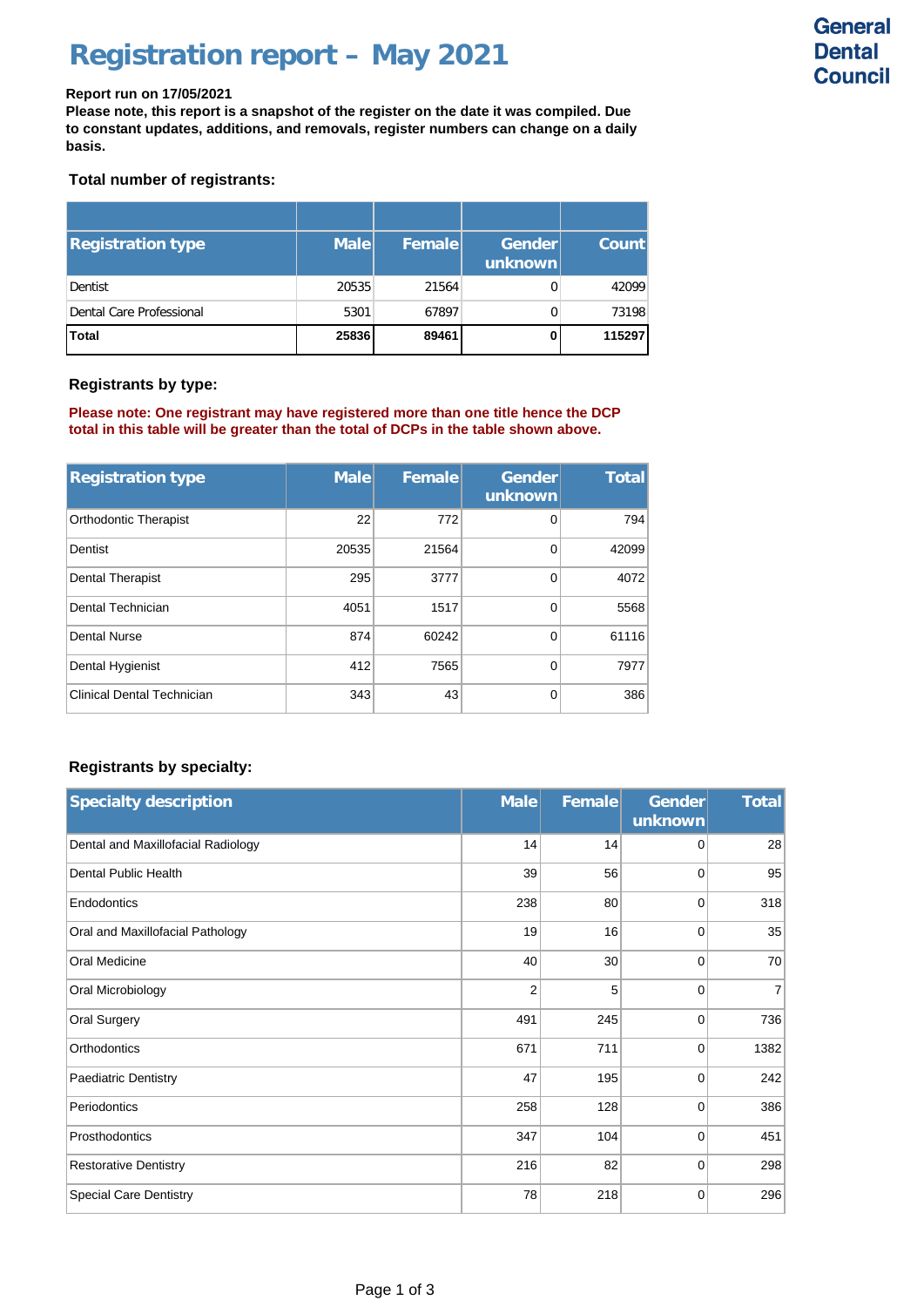## **Registration report – May 2021**

**Please note, this report is a snapshot of the register on the date it was compiled. Due to constant updates, additions, and removals, register numbers can change on a daily basis.**

### **Total number of registrants:**

| <b>Registration type</b> | <b>Male</b> | Femalel | Gender<br>unknown | <b>Count</b> |
|--------------------------|-------------|---------|-------------------|--------------|
| Dentist                  | 20535       | 21564   | 0                 | 42099        |
| Dental Care Professional | 5301        | 67897   | $\Omega$          | 73198        |
| <b>Total</b>             | 25836       | 89461   | 0                 | 115297       |

#### **Registrants by type:**

**Please note: One registrant may have registered more than one title hence the DCP total in this table will be greater than the total of DCPs in the table shown above.**

| <b>Registration type</b>          | <b>Male</b> | Female | <b>Gender</b><br>unknown | <b>Total</b> |
|-----------------------------------|-------------|--------|--------------------------|--------------|
| <b>Orthodontic Therapist</b>      | 22          | 772    | 0                        | 794          |
| Dentist                           | 20535       | 21564  | 0                        | 42099        |
| <b>Dental Therapist</b>           | 295         | 3777   | 0                        | 4072         |
| Dental Technician                 | 4051        | 1517   | 0                        | 5568         |
| <b>Dental Nurse</b>               | 874         | 60242  | 0                        | 61116        |
| Dental Hygienist                  | 412         | 7565   | 0                        | 7977         |
| <b>Clinical Dental Technician</b> | 343         | 43     | 0                        | 386          |

### **Registrants by specialty:**

| <b>Specialty description</b>       | <b>Male</b>    | Female | <b>Gender</b><br>unknown | <b>Total</b>   |
|------------------------------------|----------------|--------|--------------------------|----------------|
| Dental and Maxillofacial Radiology | 14             | 14     | 0                        | 28             |
| <b>Dental Public Health</b>        | 39             | 56     | $\mathbf 0$              | 95             |
| Endodontics                        | 238            | 80     | $\mathbf 0$              | 318            |
| Oral and Maxillofacial Pathology   | 19             | 16     | $\mathbf 0$              | 35             |
| <b>Oral Medicine</b>               | 40             | 30     | $\mathbf 0$              | 70             |
| Oral Microbiology                  | $\overline{2}$ | 5      | $\mathbf 0$              | $\overline{7}$ |
| <b>Oral Surgery</b>                | 491            | 245    | $\mathbf 0$              | 736            |
| Orthodontics                       | 671            | 711    | $\mathbf 0$              | 1382           |
| Paediatric Dentistry               | 47             | 195    | 0                        | 242            |
| Periodontics                       | 258            | 128    | $\mathbf 0$              | 386            |
| Prosthodontics                     | 347            | 104    | $\mathbf 0$              | 451            |
| <b>Restorative Dentistry</b>       | 216            | 82     | $\mathbf 0$              | 298            |
| Special Care Dentistry             | 78             | 218    | 0                        | 296            |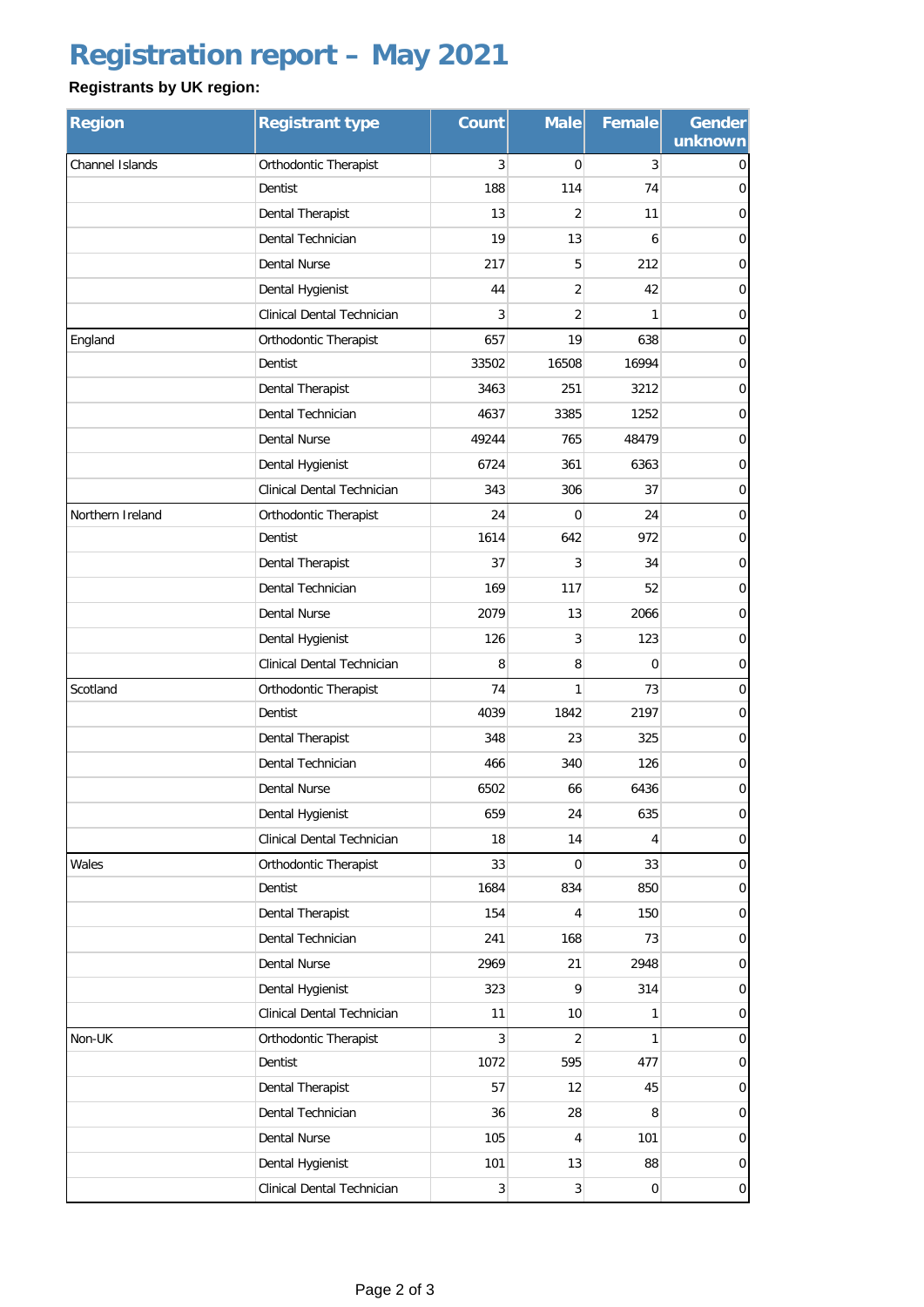# **Registration report – May 2021**

### **Registrants by UK region:**

| <b>Region</b>          | <b>Registrant type</b>            | <b>Count</b>   | <b>Male</b>     | Female         | <b>Gender</b><br>unknown |
|------------------------|-----------------------------------|----------------|-----------------|----------------|--------------------------|
| <b>Channel Islands</b> | Orthodontic Therapist             | 3              | $\Omega$        | 3              | 0                        |
|                        | Dentist                           | 188            | 114             | 74             | $\overline{0}$           |
|                        | Dental Therapist                  | 13             | $\overline{2}$  | 11             | $\mathbf 0$              |
|                        | Dental Technician                 | 19             | 13              | 6              | $\overline{0}$           |
|                        | <b>Dental Nurse</b>               | 217            | 5               | 212            | $\mathbf 0$              |
|                        | Dental Hygienist                  | 44             | $\overline{2}$  | 42             | $\mathbf 0$              |
|                        | <b>Clinical Dental Technician</b> | 3              | 2               | 1              | 0                        |
| England                | Orthodontic Therapist             | 657            | 19              | 638            | $\mathbf 0$              |
|                        | Dentist                           | 33502          | 16508           | 16994          | $\mathbf 0$              |
|                        | Dental Therapist                  | 3463           | 251             | 3212           | $\overline{0}$           |
|                        | Dental Technician                 | 4637           | 3385            | 1252           | $\mathbf 0$              |
|                        | <b>Dental Nurse</b>               | 49244          | 765             | 48479          | $\mathbf 0$              |
|                        | Dental Hygienist                  | 6724           | 361             | 6363           | $\mathbf 0$              |
|                        | <b>Clinical Dental Technician</b> | 343            | 306             | 37             | $\mathbf 0$              |
| Northern Ireland       | Orthodontic Therapist             | 24             | $\Omega$        | 24             | $\mathbf 0$              |
|                        | Dentist                           | 1614           | 642             | 972            | 0                        |
|                        | Dental Therapist                  | 37             | 3               | 34             | $\mathbf 0$              |
|                        | Dental Technician                 | 169            | 117             | 52             | $\overline{0}$           |
|                        | Dental Nurse                      | 2079           | 13              | 2066           | $\mathbf 0$              |
|                        | Dental Hygienist                  | 126            | 3               | 123            | $\overline{0}$           |
|                        | Clinical Dental Technician        | 8              | 8               | $\overline{0}$ | $\mathbf 0$              |
| Scotland               | Orthodontic Therapist             | 74             | 1               | 73             | $\mathbf 0$              |
|                        | Dentist                           | 4039           | 1842            | 2197           | $\mathbf 0$              |
|                        | Dental Therapist                  | 348            | 23              | 325            | $\overline{0}$           |
|                        | Dental Technician                 | 466            | 340             | 126            | $\mathbf 0$              |
|                        | <b>Dental Nurse</b>               | 6502           | 66              | 6436           | $\overline{0}$           |
|                        | Dental Hygienist                  | 659            | 24              | 635            | $\mathsf{O}\xspace$      |
|                        | Clinical Dental Technician        | 18             | 14              | 4              | $\pmb{0}$                |
| Wales                  | Orthodontic Therapist             | 33             | $\overline{0}$  | 33             | $\overline{0}$           |
|                        | Dentist                           | 1684           | 834             | 850            | $\mathbf 0$              |
|                        | Dental Therapist                  | 154            | $\overline{4}$  | 150            | $\mathbf 0$              |
|                        | Dental Technician                 | 241            | 168             | 73             | $\overline{0}$           |
|                        | <b>Dental Nurse</b>               | 2969           | 21              | 2948           | $\mathbf 0$              |
|                        | Dental Hygienist                  | 323            | 9               | 314            | $\overline{0}$           |
|                        | Clinical Dental Technician        | 11             | 10 <sup>1</sup> | 1              | $\pmb{0}$                |
| Non-UK                 | Orthodontic Therapist             | $\overline{3}$ | $\overline{2}$  | 1              | $\overline{0}$           |
|                        | Dentist                           | 1072           | 595             | 477            | $\overline{0}$           |
|                        | Dental Therapist                  | 57             | 12              | 45             | $\overline{0}$           |
|                        | Dental Technician                 | 36             | 28              | 8              | $\overline{0}$           |
|                        | Dental Nurse                      | 105            | 4               | 101            | $\overline{0}$           |
|                        | Dental Hygienist                  | 101            | 13              | 88             | $\mathbf 0$              |
|                        | Clinical Dental Technician        | 3              | 3               | $\mathbf 0$    | $\overline{0}$           |